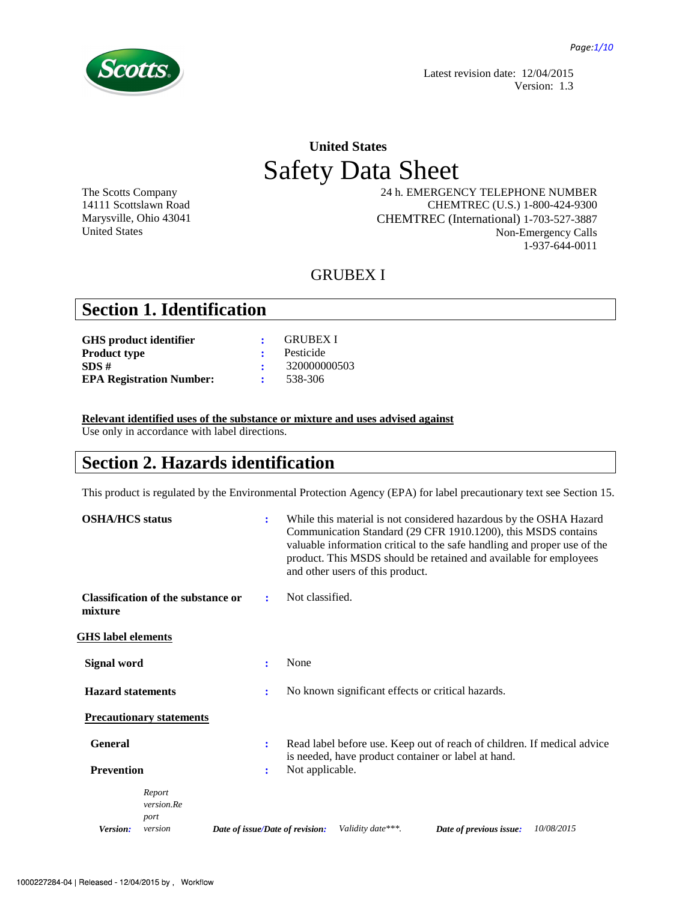

Latest revision date: 12/04/2015 Version: 1.3

# **United States**  Safety Data Sheet

The Scotts Company 14111 Scottslawn Road Marysville, Ohio 43041 United States

 24 h. EMERGENCY TELEPHONE NUMBER CHEMTREC (U.S.) 1-800-424-9300 CHEMTREC (International) 1-703-527-3887 Non-Emergency Calls 1-937-644-0011

## GRUBEX I

## **Section 1. Identification**

|                     | GRUBEX I     |
|---------------------|--------------|
|                     | Pesticide    |
|                     | 320000000503 |
| $\sim$ 1.000 $\sim$ | 538-306      |
|                     |              |

#### **Relevant identified uses of the substance or mixture and uses advised against**

Use only in accordance with label directions.

## **Section 2. Hazards identification**

This product is regulated by the Environmental Protection Agency (EPA) for label precautionary text see Section 15.

| <b>OSHA/HCS</b> status    |                                           | ÷                               | While this material is not considered hazardous by the OSHA Hazard<br>Communication Standard (29 CFR 1910.1200), this MSDS contains<br>valuable information critical to the safe handling and proper use of the<br>product. This MSDS should be retained and available for employees<br>and other users of this product. |
|---------------------------|-------------------------------------------|---------------------------------|--------------------------------------------------------------------------------------------------------------------------------------------------------------------------------------------------------------------------------------------------------------------------------------------------------------------------|
| mixture                   | <b>Classification of the substance or</b> | ÷                               | Not classified.                                                                                                                                                                                                                                                                                                          |
| <b>GHS</b> label elements |                                           |                                 |                                                                                                                                                                                                                                                                                                                          |
| <b>Signal word</b>        |                                           | ÷                               | None                                                                                                                                                                                                                                                                                                                     |
| <b>Hazard statements</b>  |                                           | ÷                               | No known significant effects or critical hazards.                                                                                                                                                                                                                                                                        |
|                           | <b>Precautionary statements</b>           |                                 |                                                                                                                                                                                                                                                                                                                          |
| <b>General</b>            |                                           | ÷                               | Read label before use. Keep out of reach of children. If medical advice<br>is needed, have product container or label at hand.                                                                                                                                                                                           |
| <b>Prevention</b>         |                                           | ÷                               | Not applicable.                                                                                                                                                                                                                                                                                                          |
|                           | Report<br>version.Re<br>port              |                                 |                                                                                                                                                                                                                                                                                                                          |
| Version:                  | version                                   | Date of issue/Date of revision: | Validity date***.<br>Date of previous issue:<br>10/08/2015                                                                                                                                                                                                                                                               |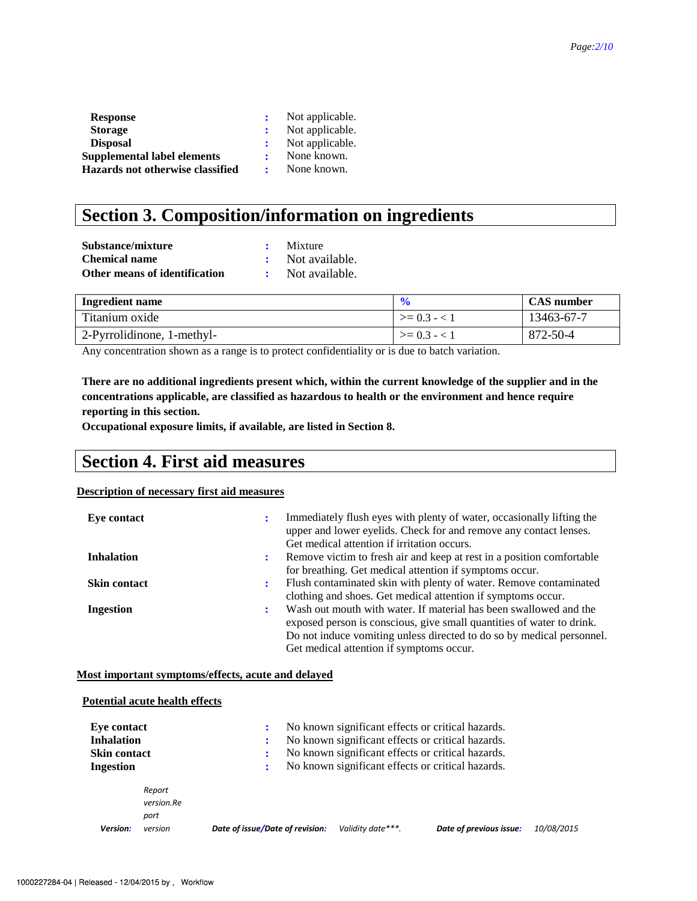| <b>Response</b>                    | Not applicable. |
|------------------------------------|-----------------|
| <b>Storage</b>                     | Not applicable. |
| <b>Disposal</b>                    | Not applicable. |
| <b>Supplemental label elements</b> | None known.     |
| Hazards not otherwise classified   | None known.     |

# **Section 3. Composition/information on ingredients**

| Substance/mixture             | Mixture          |
|-------------------------------|------------------|
| Chemical name                 | : Not available. |
| Other means of identification | Not available.   |

| <b>Ingredient name</b>     | $\mathbf{0}$ | <b>CAS</b> number |
|----------------------------|--------------|-------------------|
| Titanium oxide             | $>= 0.3 - 1$ | 13463-67-7        |
| 2-Pyrrolidinone, 1-methyl- | $>= 0.3 - 1$ | 872-50-4          |

Any concentration shown as a range is to protect confidentiality or is due to batch variation.

**There are no additional ingredients present which, within the current knowledge of the supplier and in the concentrations applicable, are classified as hazardous to health or the environment and hence require reporting in this section.** 

**Occupational exposure limits, if available, are listed in Section 8.**

## **Section 4. First aid measures**

#### **Description of necessary first aid measures**

| Eye contact         |           | Immediately flush eyes with plenty of water, occasionally lifting the<br>upper and lower eyelids. Check for and remove any contact lenses.<br>Get medical attention if irritation occurs. |
|---------------------|-----------|-------------------------------------------------------------------------------------------------------------------------------------------------------------------------------------------|
| <b>Inhalation</b>   | ÷         | Remove victim to fresh air and keep at rest in a position comfortable                                                                                                                     |
|                     |           | for breathing. Get medical attention if symptoms occur.                                                                                                                                   |
| <b>Skin contact</b> | $\bullet$ | Flush contaminated skin with plenty of water. Remove contaminated                                                                                                                         |
|                     |           | clothing and shoes. Get medical attention if symptoms occur.                                                                                                                              |
| <b>Ingestion</b>    | $\bullet$ | Wash out mouth with water. If material has been swallowed and the                                                                                                                         |
|                     |           | exposed person is conscious, give small quantities of water to drink.                                                                                                                     |
|                     |           | Do not induce vomiting unless directed to do so by medical personnel.                                                                                                                     |
|                     |           | Get medical attention if symptoms occur.                                                                                                                                                  |

#### **Most important symptoms/effects, acute and delayed**

|                                                         | <b>Potential acute health effects</b> |                                 |                                                                                                                                                             |                   |                                                   |            |  |  |  |  |  |
|---------------------------------------------------------|---------------------------------------|---------------------------------|-------------------------------------------------------------------------------------------------------------------------------------------------------------|-------------------|---------------------------------------------------|------------|--|--|--|--|--|
| Eye contact<br><b>Inhalation</b><br><b>Skin contact</b> |                                       |                                 | No known significant effects or critical hazards.<br>No known significant effects or critical hazards.<br>No known significant effects or critical hazards. |                   |                                                   |            |  |  |  |  |  |
| Ingestion                                               | Report<br>version.Re                  | :                               |                                                                                                                                                             |                   | No known significant effects or critical hazards. |            |  |  |  |  |  |
| Version:                                                | port<br>version                       | Date of issue/Date of revision: |                                                                                                                                                             | Validity date***. | Date of previous issue:                           | 10/08/2015 |  |  |  |  |  |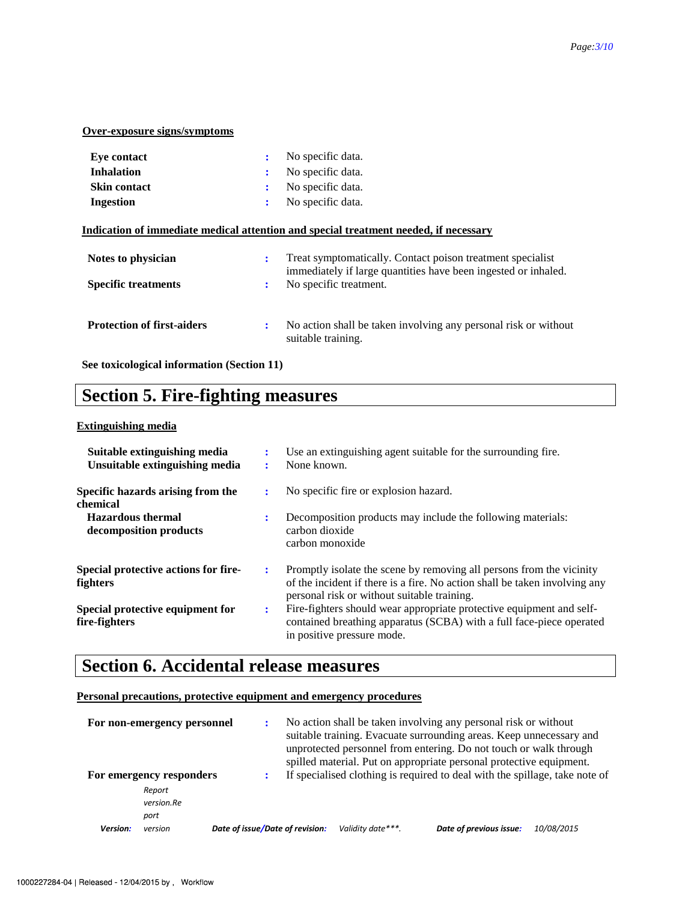## **Over-exposure signs/symptoms**

| <b>Eve contact</b><br><b>Inhalation</b> | ٠<br>٠                 | No specific data.<br>No specific data.                                                                                       |
|-----------------------------------------|------------------------|------------------------------------------------------------------------------------------------------------------------------|
| <b>Skin contact</b>                     | ٠<br>$\blacksquare$    | No specific data.                                                                                                            |
| <b>Ingestion</b>                        | $\bullet$<br>$\bullet$ | No specific data.                                                                                                            |
|                                         |                        | <u>Indication of immediate medical attention and special treatment needed, if necessary</u>                                  |
| Notes to physician                      | ÷                      | Treat symptomatically. Contact poison treatment specialist<br>immediately if large quantities have been ingested or inhaled. |
| <b>Specific treatments</b>              | $\ddot{\cdot}$         | No specific treatment.                                                                                                       |
| <b>Protection of first-aiders</b>       | $\ddot{\cdot}$         | No action shall be taken involving any personal risk or without<br>suitable training.                                        |

**See toxicological information (Section 11)** 

# **Section 5. Fire-fighting measures**

## **Extinguishing media**

| Suitable extinguishing media<br>Unsuitable extinguishing media |   | Use an extinguishing agent suitable for the surrounding fire.<br>None known.                                                                                                                      |
|----------------------------------------------------------------|---|---------------------------------------------------------------------------------------------------------------------------------------------------------------------------------------------------|
| Specific hazards arising from the<br>chemical                  |   | No specific fire or explosion hazard.                                                                                                                                                             |
| <b>Hazardous thermal</b><br>decomposition products             |   | Decomposition products may include the following materials:<br>carbon dioxide<br>carbon monoxide                                                                                                  |
| Special protective actions for fire-<br>fighters               | ÷ | Promptly isolate the scene by removing all persons from the vicinity<br>of the incident if there is a fire. No action shall be taken involving any<br>personal risk or without suitable training. |
| Special protective equipment for<br>fire-fighters              | ÷ | Fire-fighters should wear appropriate protective equipment and self-<br>contained breathing apparatus (SCBA) with a full face-piece operated<br>in positive pressure mode.                        |

# **Section 6. Accidental release measures**

#### **Personal precautions, protective equipment and emergency procedures**

|                 | For non-emergency personnel |                                 | No action shall be taken involving any personal risk or without<br>suitable training. Evacuate surrounding areas. Keep unnecessary and<br>unprotected personnel from entering. Do not touch or walk through<br>spilled material. Put on appropriate personal protective equipment. |                   |                                                                             |            |
|-----------------|-----------------------------|---------------------------------|------------------------------------------------------------------------------------------------------------------------------------------------------------------------------------------------------------------------------------------------------------------------------------|-------------------|-----------------------------------------------------------------------------|------------|
|                 | For emergency responders    |                                 |                                                                                                                                                                                                                                                                                    |                   | If specialised clothing is required to deal with the spillage, take note of |            |
|                 | Report                      |                                 |                                                                                                                                                                                                                                                                                    |                   |                                                                             |            |
|                 | version.Re                  |                                 |                                                                                                                                                                                                                                                                                    |                   |                                                                             |            |
|                 | port                        |                                 |                                                                                                                                                                                                                                                                                    |                   |                                                                             |            |
| <b>Version:</b> | version                     | Date of issue/Date of revision: |                                                                                                                                                                                                                                                                                    | Validity date***. | Date of previous issue:                                                     | 10/08/2015 |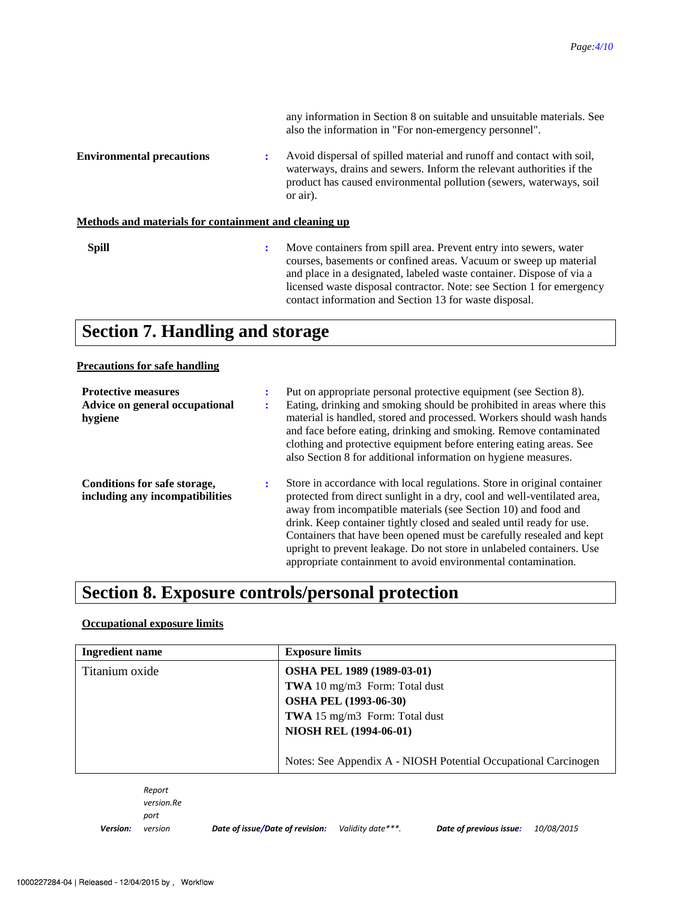|                                                       |                | any information in Section 8 on suitable and unsuitable materials. See<br>also the information in "For non-emergency personnel".                                                                                                                                                                                                                  |
|-------------------------------------------------------|----------------|---------------------------------------------------------------------------------------------------------------------------------------------------------------------------------------------------------------------------------------------------------------------------------------------------------------------------------------------------|
| <b>Environmental precautions</b>                      |                | Avoid dispersal of spilled material and runoff and contact with soil,<br>waterways, drains and sewers. Inform the relevant authorities if the<br>product has caused environmental pollution (sewers, waterways, soil<br>or air).                                                                                                                  |
| Methods and materials for containment and cleaning up |                |                                                                                                                                                                                                                                                                                                                                                   |
| <b>Spill</b>                                          | $\ddot{\cdot}$ | Move containers from spill area. Prevent entry into sewers, water<br>courses, basements or confined areas. Vacuum or sweep up material<br>and place in a designated, labeled waste container. Dispose of via a<br>licensed waste disposal contractor. Note: see Section 1 for emergency<br>contact information and Section 13 for waste disposal. |

# **Section 7. Handling and storage**

### **Precautions for safe handling**

| <b>Protective measures</b><br>Advice on general occupational<br>hygiene | ÷<br>٠ | Put on appropriate personal protective equipment (see Section 8).<br>Eating, drinking and smoking should be prohibited in areas where this<br>material is handled, stored and processed. Workers should wash hands<br>and face before eating, drinking and smoking. Remove contaminated<br>clothing and protective equipment before entering eating areas. See<br>also Section 8 for additional information on hygiene measures.                                                                               |
|-------------------------------------------------------------------------|--------|----------------------------------------------------------------------------------------------------------------------------------------------------------------------------------------------------------------------------------------------------------------------------------------------------------------------------------------------------------------------------------------------------------------------------------------------------------------------------------------------------------------|
| Conditions for safe storage,<br>including any incompatibilities         | ÷      | Store in accordance with local regulations. Store in original container<br>protected from direct sunlight in a dry, cool and well-ventilated area,<br>away from incompatible materials (see Section 10) and food and<br>drink. Keep container tightly closed and sealed until ready for use.<br>Containers that have been opened must be carefully resealed and kept<br>upright to prevent leakage. Do not store in unlabeled containers. Use<br>appropriate containment to avoid environmental contamination. |

# **Section 8. Exposure controls/personal protection**

## **Occupational exposure limits**

| <b>Ingredient name</b> | <b>Exposure limits</b>                                          |
|------------------------|-----------------------------------------------------------------|
| Titanium oxide         | OSHA PEL 1989 (1989-03-01)                                      |
|                        | <b>TWA</b> 10 mg/m3 Form: Total dust                            |
|                        | <b>OSHA PEL (1993-06-30)</b>                                    |
|                        | <b>TWA</b> 15 mg/m3 Form: Total dust                            |
|                        | <b>NIOSH REL (1994-06-01)</b>                                   |
|                        |                                                                 |
|                        | Notes: See Appendix A - NIOSH Potential Occupational Carcinogen |

*Report version.Re port* 

*Version:*

*version Date of issue/Date of revision: Validity date\*\*\*. Date of previous issue: 10/08/2015*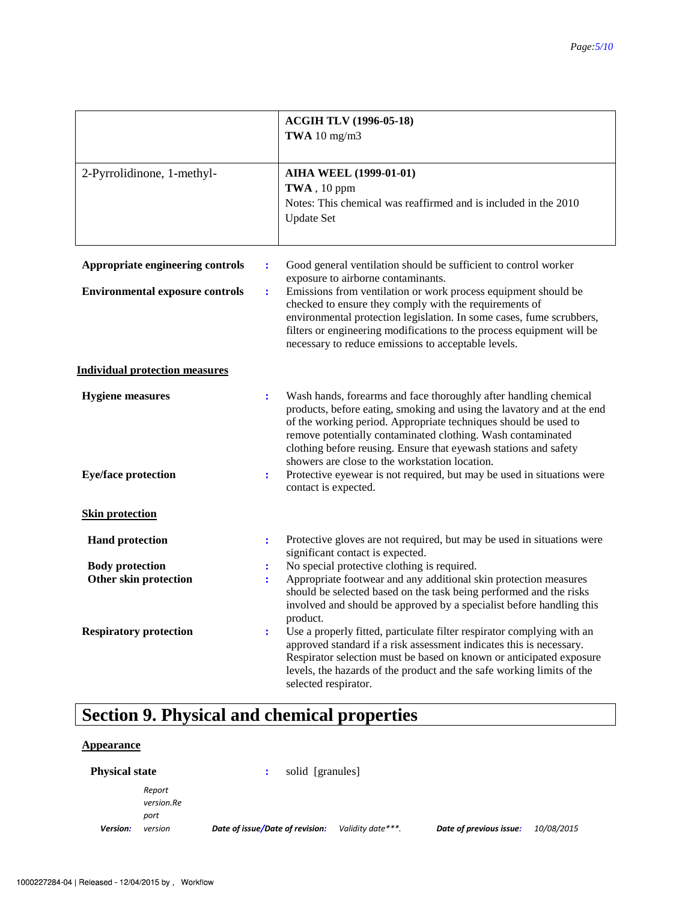|                                                                            | <b>ACGIH TLV (1996-05-18)</b><br>TWA $10 \text{ mg/m}$ 3                                                                                                                                                                                                                                                                                                                                                                                                         |
|----------------------------------------------------------------------------|------------------------------------------------------------------------------------------------------------------------------------------------------------------------------------------------------------------------------------------------------------------------------------------------------------------------------------------------------------------------------------------------------------------------------------------------------------------|
| 2-Pyrrolidinone, 1-methyl-                                                 | <b>AIHA WEEL (1999-01-01)</b><br>TWA, 10 ppm<br>Notes: This chemical was reaffirmed and is included in the 2010<br><b>Update Set</b>                                                                                                                                                                                                                                                                                                                             |
| Appropriate engineering controls<br><b>Environmental exposure controls</b> | Good general ventilation should be sufficient to control worker<br>$\ddot{\cdot}$<br>exposure to airborne contaminants.<br>Emissions from ventilation or work process equipment should be<br>÷<br>checked to ensure they comply with the requirements of<br>environmental protection legislation. In some cases, fume scrubbers,<br>filters or engineering modifications to the process equipment will be<br>necessary to reduce emissions to acceptable levels. |
| <b>Individual protection measures</b>                                      |                                                                                                                                                                                                                                                                                                                                                                                                                                                                  |
| <b>Hygiene measures</b>                                                    | Wash hands, forearms and face thoroughly after handling chemical<br>$\ddot{\cdot}$<br>products, before eating, smoking and using the lavatory and at the end<br>of the working period. Appropriate techniques should be used to<br>remove potentially contaminated clothing. Wash contaminated<br>clothing before reusing. Ensure that eyewash stations and safety<br>showers are close to the workstation location.                                             |
| <b>Eye/face protection</b>                                                 | Protective eyewear is not required, but may be used in situations were<br>÷<br>contact is expected.                                                                                                                                                                                                                                                                                                                                                              |
| <b>Skin protection</b>                                                     |                                                                                                                                                                                                                                                                                                                                                                                                                                                                  |
| <b>Hand protection</b>                                                     | Protective gloves are not required, but may be used in situations were<br>$\ddot{\cdot}$<br>significant contact is expected.                                                                                                                                                                                                                                                                                                                                     |
| <b>Body protection</b>                                                     | No special protective clothing is required.<br>:                                                                                                                                                                                                                                                                                                                                                                                                                 |
| Other skin protection                                                      | Appropriate footwear and any additional skin protection measures<br>$\ddot{\phantom{a}}$<br>should be selected based on the task being performed and the risks<br>involved and should be approved by a specialist before handling this<br>product.                                                                                                                                                                                                               |
| <b>Respiratory protection</b>                                              | Use a properly fitted, particulate filter respirator complying with an<br>$\ddot{\cdot}$<br>approved standard if a risk assessment indicates this is necessary.<br>Respirator selection must be based on known or anticipated exposure<br>levels, the hazards of the product and the safe working limits of the<br>selected respirator.                                                                                                                          |

# **Section 9. Physical and chemical properties**

## **Appearance**

| <b>Physical state</b> |                      | solid [granules]                |                   |                         |            |
|-----------------------|----------------------|---------------------------------|-------------------|-------------------------|------------|
|                       | Report<br>version.Re |                                 |                   |                         |            |
| Version:              | port<br>version      | Date of issue/Date of revision: | Validity date***. | Date of previous issue: | 10/08/2015 |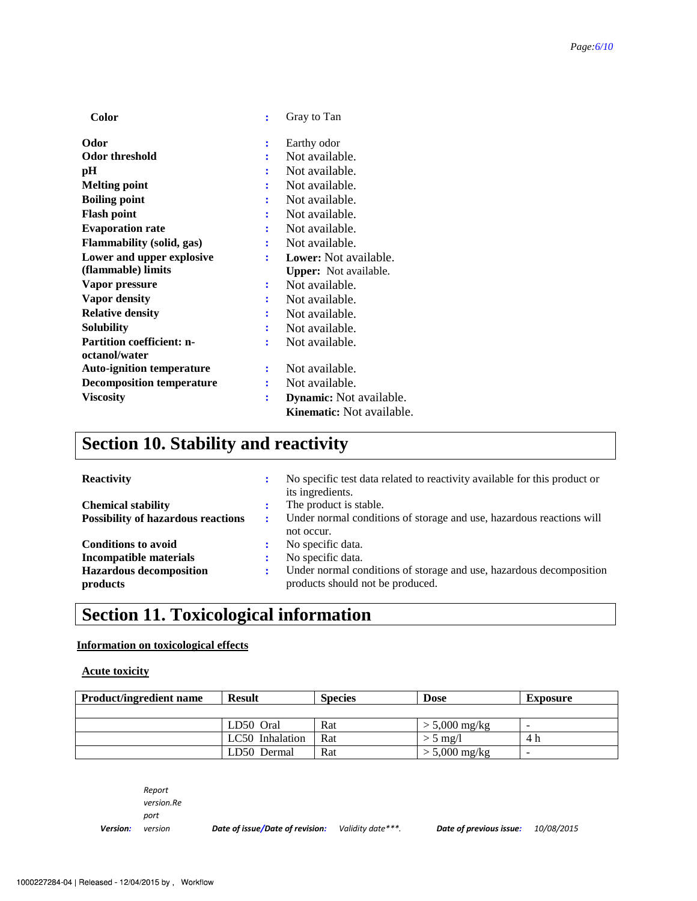| Color                            | ÷              | Gray to Tan                      |
|----------------------------------|----------------|----------------------------------|
| Odor                             | ፡              | Earthy odor                      |
| <b>Odor threshold</b>            |                | Not available.                   |
| pН                               |                | Not available.                   |
| <b>Melting point</b>             |                | Not available.                   |
| <b>Boiling point</b>             |                | Not available.                   |
| <b>Flash point</b>               |                | Not available.                   |
| <b>Evaporation rate</b>          |                | Not available.                   |
| Flammability (solid, gas)        | $\ddot{\cdot}$ | Not available.                   |
| Lower and upper explosive        |                | Lower: Not available.            |
| (flammable) limits               |                | <b>Upper:</b> Not available.     |
| Vapor pressure                   | ፡              | Not available.                   |
| <b>Vapor density</b>             |                | Not available.                   |
| <b>Relative density</b>          |                | Not available.                   |
| Solubility                       |                | Not available.                   |
| <b>Partition coefficient: n-</b> | ÷              | Not available.                   |
| octanol/water                    |                |                                  |
| <b>Auto-ignition temperature</b> |                | Not available.                   |
| <b>Decomposition temperature</b> |                | Not available.                   |
| <b>Viscosity</b>                 | ፡              | <b>Dynamic:</b> Not available.   |
|                                  |                | <b>Kinematic:</b> Not available. |

# **Section 10. Stability and reactivity**

| <b>Reactivity</b>                         | ÷ | No specific test data related to reactivity available for this product or<br>its ingredients. |
|-------------------------------------------|---|-----------------------------------------------------------------------------------------------|
| <b>Chemical stability</b>                 |   | The product is stable.                                                                        |
| <b>Possibility of hazardous reactions</b> | ÷ | Under normal conditions of storage and use, hazardous reactions will                          |
|                                           |   | not occur.                                                                                    |
| <b>Conditions to avoid</b>                | ÷ | No specific data.                                                                             |
| Incompatible materials                    | ÷ | No specific data.                                                                             |
| <b>Hazardous decomposition</b>            | ÷ | Under normal conditions of storage and use, hazardous decomposition                           |
| products                                  |   | products should not be produced.                                                              |

# **Section 11. Toxicological information**

## **Information on toxicological effects**

### **Acute toxicity**

| <b>Product/ingredient name</b> | <b>Result</b>   | <b>Species</b> | <b>Dose</b>     | <b>Exposure</b> |
|--------------------------------|-----------------|----------------|-----------------|-----------------|
|                                |                 |                |                 |                 |
|                                | LD50 Oral       | Rat            | $> 5,000$ mg/kg |                 |
|                                | LC50 Inhalation | Rat            | $> 5$ mg/l      | 4 h             |
|                                | LD50 Dermal     | Rat            | $> 5,000$ mg/kg | -               |

*Report version.Re port* 

*Version:*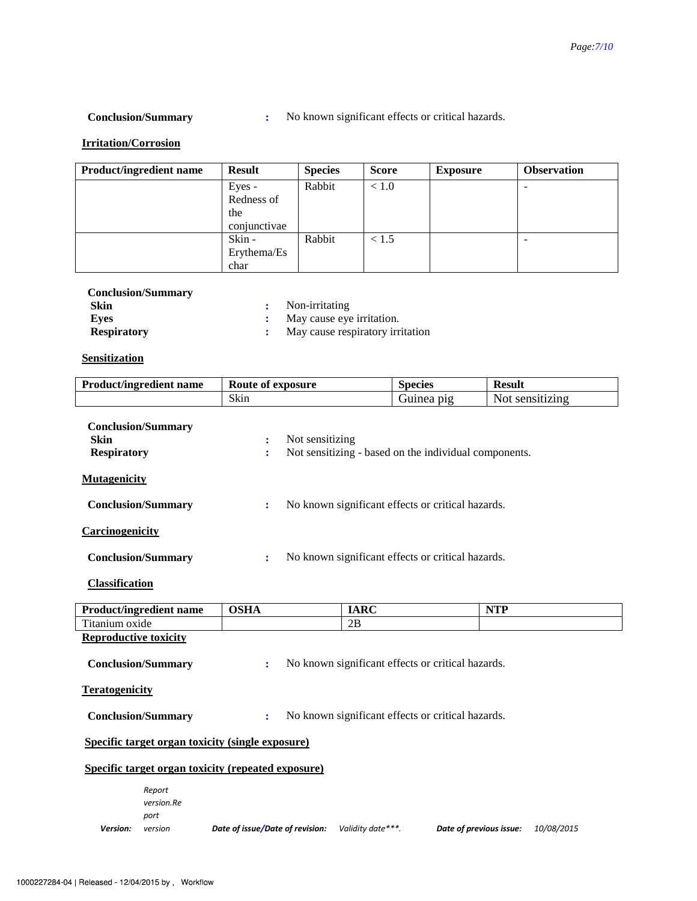**Conclusion/Summary :** No known significant effects or critical hazards.

## **Irritation/Corrosion**

| <b>Product/ingredient name</b> | <b>Result</b> | <b>Species</b> | <b>Score</b> | <b>Exposure</b> | <b>Observation</b> |
|--------------------------------|---------------|----------------|--------------|-----------------|--------------------|
|                                | Eyes -        | Rabbit         | < 1.0        |                 |                    |
|                                | Redness of    |                |              |                 |                    |
|                                | the           |                |              |                 |                    |
|                                | conjunctivae  |                |              |                 |                    |
|                                | Skin -        | Rabbit         | < 1.5        |                 |                    |
|                                | Erythema/Es   |                |              |                 |                    |
|                                | char          |                |              |                 |                    |

| <b>Conclusion/Summary</b> |                                    |
|---------------------------|------------------------------------|
| Skin                      | : Non-irritating                   |
| Eves                      | : May cause eye irritation.        |
| <b>Respiratory</b>        | : May cause respiratory irritation |

## **Sensitization**

| <b>Product/ingredient name</b>                                                     | Route of exposure                                      | <b>Species</b>                                        | <b>Result</b>                         |  |  |  |  |
|------------------------------------------------------------------------------------|--------------------------------------------------------|-------------------------------------------------------|---------------------------------------|--|--|--|--|
|                                                                                    | Skin                                                   | Guinea pig                                            | Not sensitizing                       |  |  |  |  |
| <b>Conclusion/Summary</b><br><b>Skin</b><br><b>Respiratory</b>                     | Not sensitizing<br>÷<br>÷                              | Not sensitizing - based on the individual components. |                                       |  |  |  |  |
| <b>Mutagenicity</b><br><b>Conclusion/Summary</b>                                   | ÷                                                      | No known significant effects or critical hazards.     |                                       |  |  |  |  |
| Carcinogenicity                                                                    |                                                        |                                                       |                                       |  |  |  |  |
| <b>Conclusion/Summary</b>                                                          | ÷                                                      | No known significant effects or critical hazards.     |                                       |  |  |  |  |
| <b>Classification</b>                                                              |                                                        |                                                       |                                       |  |  |  |  |
| <b>Product/ingredient name</b>                                                     | <b>OSHA</b>                                            | <b>IARC</b>                                           | <b>NTP</b>                            |  |  |  |  |
| Titanium oxide                                                                     |                                                        | 2B                                                    |                                       |  |  |  |  |
| <b>Reproductive toxicity</b><br><b>Conclusion/Summary</b><br><b>Teratogenicity</b> | $\ddot{\cdot}$                                         | No known significant effects or critical hazards.     |                                       |  |  |  |  |
| <b>Conclusion/Summary</b>                                                          | No known significant effects or critical hazards.<br>÷ |                                                       |                                       |  |  |  |  |
| Specific target organ toxicity (single exposure)                                   |                                                        |                                                       |                                       |  |  |  |  |
|                                                                                    | Specific target organ toxicity (repeated exposure)     |                                                       |                                       |  |  |  |  |
| Report<br>version.Re<br>port<br>Version:<br>version                                | Date of issue/Date of revision:                        | Validity date***.                                     | Date of previous issue:<br>10/08/2015 |  |  |  |  |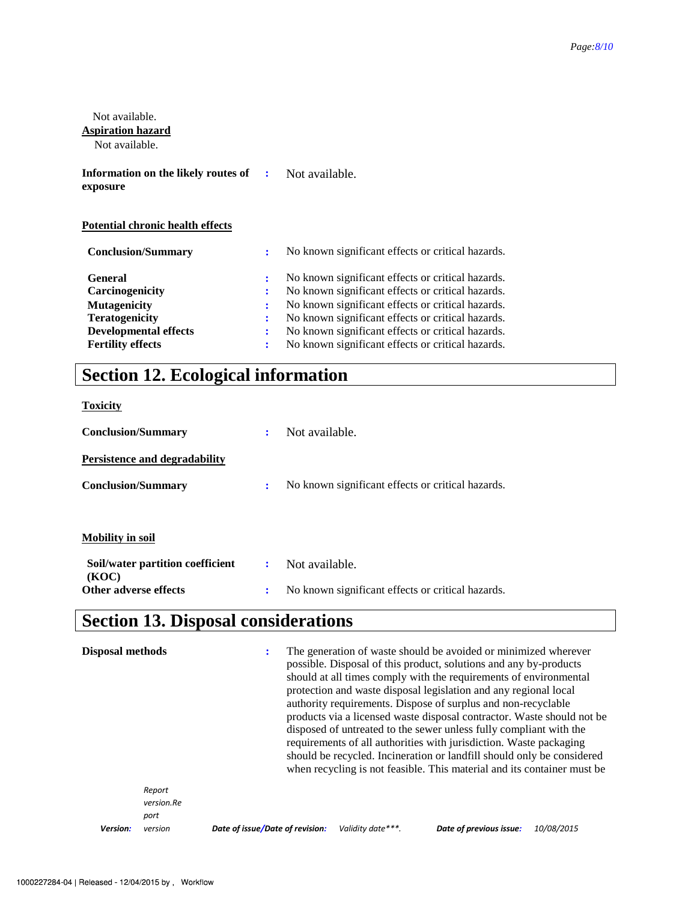| Not available.<br><b>Aspiration hazard</b><br>Not available. |        |                                                                                                        |
|--------------------------------------------------------------|--------|--------------------------------------------------------------------------------------------------------|
| Information on the likely routes of<br>exposure              | ÷      | Not available.                                                                                         |
| <b>Potential chronic health effects</b>                      |        |                                                                                                        |
| <b>Conclusion/Summary</b>                                    | ÷      | No known significant effects or critical hazards.                                                      |
| <b>General</b><br>Carcinogenicity                            | :<br>٠ | No known significant effects or critical hazards.<br>No known significant effects or critical hazards. |
| <b>Mutagenicity</b>                                          | ٠      | No known significant effects or critical hazards.                                                      |
| <b>Teratogenicity</b>                                        |        | No known significant effects or critical hazards.                                                      |

**Developmental effects :** No known significant effects or critical hazards. **Fertility effects :** No known significant effects or critical hazards.

# **Section 12. Ecological information**

**Toxicity**

| <b>Conclusion/Summary</b>                 | ÷ | Not available.                                    |
|-------------------------------------------|---|---------------------------------------------------|
| <b>Persistence and degradability</b>      |   |                                                   |
| <b>Conclusion/Summary</b>                 | : | No known significant effects or critical hazards. |
|                                           |   |                                                   |
| <b>Mobility in soil</b>                   |   |                                                   |
| Soil/water partition coefficient<br>(KOC) | ÷ | Not available.                                    |
| Other adverse effects                     | ÷ | No known significant effects or critical hazards. |

# **Section 13. Disposal considerations**

| <b>Disposal methods</b> |                              |                                 | The generation of waste should be avoided or minimized wherever<br>possible. Disposal of this product, solutions and any by-products<br>should at all times comply with the requirements of environmental<br>protection and waste disposal legislation and any regional local<br>authority requirements. Dispose of surplus and non-recyclable<br>products via a licensed waste disposal contractor. Waste should not be<br>disposed of untreated to the sewer unless fully compliant with the<br>requirements of all authorities with jurisdiction. Waste packaging<br>should be recycled. Incineration or landfill should only be considered<br>when recycling is not feasible. This material and its container must be |                    |                         |            |
|-------------------------|------------------------------|---------------------------------|---------------------------------------------------------------------------------------------------------------------------------------------------------------------------------------------------------------------------------------------------------------------------------------------------------------------------------------------------------------------------------------------------------------------------------------------------------------------------------------------------------------------------------------------------------------------------------------------------------------------------------------------------------------------------------------------------------------------------|--------------------|-------------------------|------------|
|                         | Report<br>version.Re<br>port |                                 |                                                                                                                                                                                                                                                                                                                                                                                                                                                                                                                                                                                                                                                                                                                           |                    |                         |            |
| Version:                | version                      | Date of issue/Date of revision: |                                                                                                                                                                                                                                                                                                                                                                                                                                                                                                                                                                                                                                                                                                                           | Validity date ***. | Date of previous issue: | 10/08/2015 |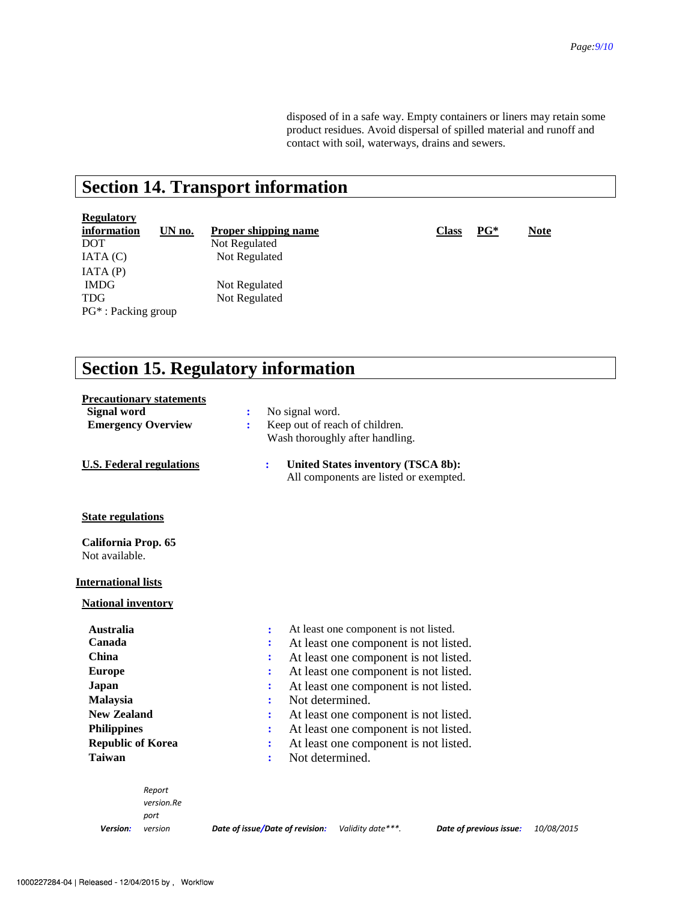disposed of in a safe way. Empty containers or liners may retain some product residues. Avoid dispersal of spilled material and runoff and contact with soil, waterways, drains and sewers.

# **Section 14. Transport information**

# **Regulatory**

**information UN no. Proper shipping name Class PG\* Note**  DOT Not Regulated<br>
IATA (C) Not Regulated IATA (P) IMDG Not Regulated TDG Not Regulated PG\* : Packing group

Not Regulated

## **Section 15. Regulatory information**

| <b>Precautionary statements</b><br><b>Signal word</b> |            |  | :                                          | No signal word.                                         |                 |                   |                                        |  |                         |            |
|-------------------------------------------------------|------------|--|--------------------------------------------|---------------------------------------------------------|-----------------|-------------------|----------------------------------------|--|-------------------------|------------|
| <b>Emergency Overview</b>                             |            |  | ÷                                          | Keep out of reach of children.                          |                 |                   |                                        |  |                         |            |
|                                                       |            |  |                                            | Wash thoroughly after handling.                         |                 |                   |                                        |  |                         |            |
|                                                       |            |  |                                            |                                                         |                 |                   |                                        |  |                         |            |
| <b>U.S. Federal regulations</b>                       |            |  |                                            | ÷                                                       |                 |                   | United States inventory (TSCA 8b):     |  |                         |            |
|                                                       |            |  |                                            |                                                         |                 |                   | All components are listed or exempted. |  |                         |            |
|                                                       |            |  |                                            |                                                         |                 |                   |                                        |  |                         |            |
|                                                       |            |  |                                            |                                                         |                 |                   |                                        |  |                         |            |
| <b>State regulations</b>                              |            |  |                                            |                                                         |                 |                   |                                        |  |                         |            |
| California Prop. 65                                   |            |  |                                            |                                                         |                 |                   |                                        |  |                         |            |
| Not available.                                        |            |  |                                            |                                                         |                 |                   |                                        |  |                         |            |
|                                                       |            |  |                                            |                                                         |                 |                   |                                        |  |                         |            |
| <b>International lists</b>                            |            |  |                                            |                                                         |                 |                   |                                        |  |                         |            |
| <b>National inventory</b>                             |            |  |                                            |                                                         |                 |                   |                                        |  |                         |            |
|                                                       |            |  |                                            |                                                         |                 |                   |                                        |  |                         |            |
| <b>Australia</b>                                      |            |  |                                            | ÷                                                       |                 |                   | At least one component is not listed.  |  |                         |            |
| Canada                                                |            |  |                                            |                                                         |                 |                   | At least one component is not listed.  |  |                         |            |
| <b>China</b>                                          |            |  |                                            | At least one component is not listed.<br>÷              |                 |                   |                                        |  |                         |            |
| <b>Europe</b>                                         |            |  |                                            | ÷                                                       |                 |                   | At least one component is not listed.  |  |                         |            |
| Japan                                                 |            |  | At least one component is not listed.      |                                                         |                 |                   |                                        |  |                         |            |
| Malaysia                                              |            |  |                                            | Not determined.                                         |                 |                   |                                        |  |                         |            |
| <b>New Zealand</b>                                    |            |  |                                            | At least one component is not listed.                   |                 |                   |                                        |  |                         |            |
| <b>Philippines</b>                                    |            |  |                                            | At least one component is not listed.<br>$\ddot{\cdot}$ |                 |                   |                                        |  |                         |            |
| <b>Republic of Korea</b>                              |            |  | At least one component is not listed.<br>÷ |                                                         |                 |                   |                                        |  |                         |            |
| Taiwan                                                |            |  |                                            | ÷                                                       | Not determined. |                   |                                        |  |                         |            |
|                                                       |            |  |                                            |                                                         |                 |                   |                                        |  |                         |            |
|                                                       | Report     |  |                                            |                                                         |                 |                   |                                        |  |                         |            |
|                                                       | version.Re |  |                                            |                                                         |                 |                   |                                        |  |                         |            |
|                                                       | port       |  |                                            |                                                         |                 |                   |                                        |  |                         |            |
| Version:                                              | version    |  |                                            | Date of issue/Date of revision:                         |                 | Validity date***. |                                        |  | Date of previous issue: | 10/08/2015 |